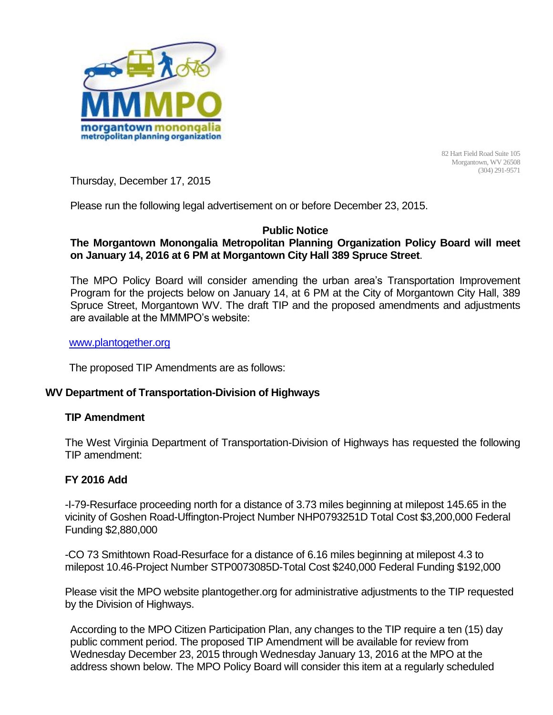

82 Hart Field Road Suite 105 Morgantown, WV 26508 (304) 291-9571

Thursday, December 17, 2015

Please run the following legal advertisement on or before December 23, 2015.

# **Public Notice**

## **The Morgantown Monongalia Metropolitan Planning Organization Policy Board will meet on January 14, 2016 at 6 PM at Morgantown City Hall 389 Spruce Street**.

The MPO Policy Board will consider amending the urban area's Transportation Improvement Program for the projects below on January 14, at 6 PM at the City of Morgantown City Hall, 389 Spruce Street, Morgantown WV. The draft TIP and the proposed amendments and adjustments are available at the MMMPO's website:

#### [www.plantogether.org](http://www.plantogether.org/)

The proposed TIP Amendments are as follows:

### **WV Department of Transportation-Division of Highways**

### **TIP Amendment**

The West Virginia Department of Transportation-Division of Highways has requested the following TIP amendment:

### **FY 2016 Add**

-I-79-Resurface proceeding north for a distance of 3.73 miles beginning at milepost 145.65 in the vicinity of Goshen Road-Uffington-Project Number NHP0793251D Total Cost \$3,200,000 Federal Funding \$2,880,000

-CO 73 Smithtown Road-Resurface for a distance of 6.16 miles beginning at milepost 4.3 to milepost 10.46-Project Number STP0073085D-Total Cost \$240,000 Federal Funding \$192,000

Please visit the MPO website plantogether.org for administrative adjustments to the TIP requested by the Division of Highways.

According to the MPO Citizen Participation Plan, any changes to the TIP require a ten (15) day public comment period. The proposed TIP Amendment will be available for review from Wednesday December 23, 2015 through Wednesday January 13, 2016 at the MPO at the address shown below. The MPO Policy Board will consider this item at a regularly scheduled